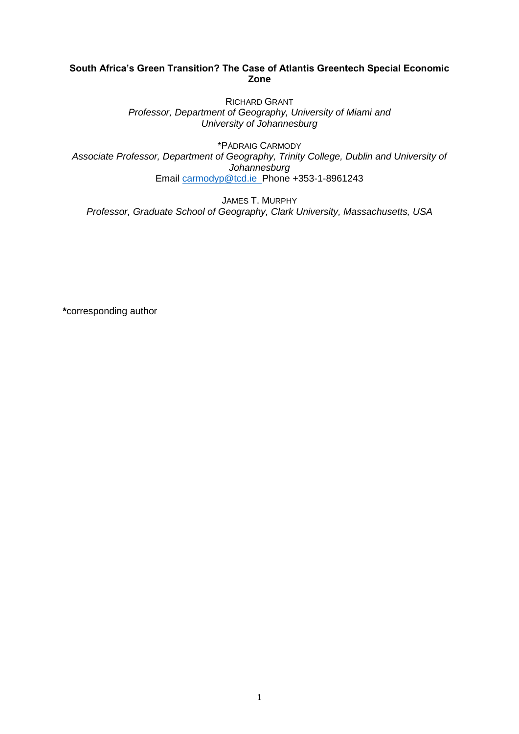# **South Africa's Green Transition? The Case of Atlantis Greentech Special Economic Zone**

RICHARD GRANT *Professor, Department of Geography, University of Miami and University of Johannesburg*

\*PÁDRAIG CARMODY *Associate Professor, Department of Geography, Trinity College, Dublin and University of Johannesburg* Email [carmodyp@tcd.ie](mailto:carmodyp@tcd.ie) Phone +353-1-8961243

JAMES T. MURPHY *Professor, Graduate School of Geography, Clark University, Massachusetts, USA*

**\***corresponding author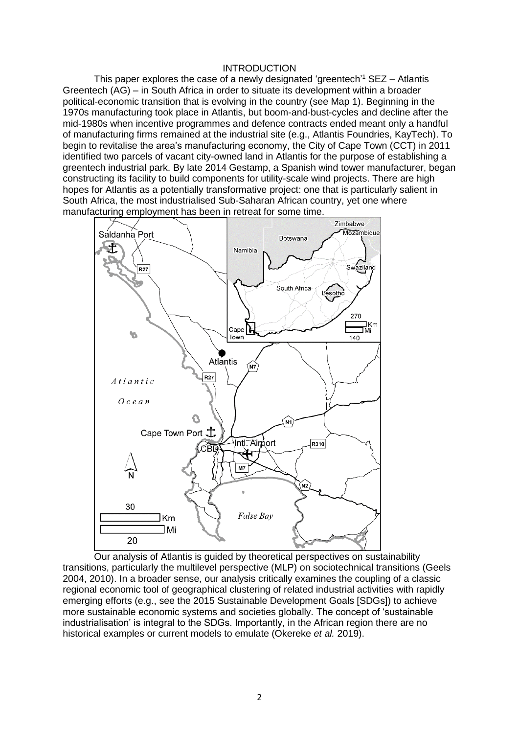## **INTRODUCTION**

This paper explores the case of a newly designated 'greentech'<sup>1</sup> SEZ – Atlantis Greentech (AG) – in South Africa in order to situate its development within a broader political-economic transition that is evolving in the country (see Map 1). Beginning in the 1970s manufacturing took place in Atlantis, but boom-and-bust-cycles and decline after the mid-1980s when incentive programmes and defence contracts ended meant only a handful of manufacturing firms remained at the industrial site (e.g., Atlantis Foundries, KayTech). To begin to revitalise the area's manufacturing economy, the City of Cape Town (CCT) in 2011 identified two parcels of vacant city-owned land in Atlantis for the purpose of establishing a greentech industrial park. By late 2014 Gestamp, a Spanish wind tower manufacturer, began constructing its facility to build components for utility-scale wind projects. There are high hopes for Atlantis as a potentially transformative project: one that is particularly salient in South Africa, the most industrialised Sub-Saharan African country, yet one where manufacturing employment has been in retreat for some time.



Our analysis of Atlantis is guided by theoretical perspectives on sustainability transitions, particularly the multilevel perspective (MLP) on sociotechnical transitions (Geels 2004, 2010). In a broader sense, our analysis critically examines the coupling of a classic regional economic tool of geographical clustering of related industrial activities with rapidly emerging efforts (e.g., see the 2015 Sustainable Development Goals [SDGs]) to achieve more sustainable economic systems and societies globally. The concept of 'sustainable industrialisation' is integral to the SDGs. Importantly, in the African region there are no historical examples or current models to emulate (Okereke *et al.* 2019).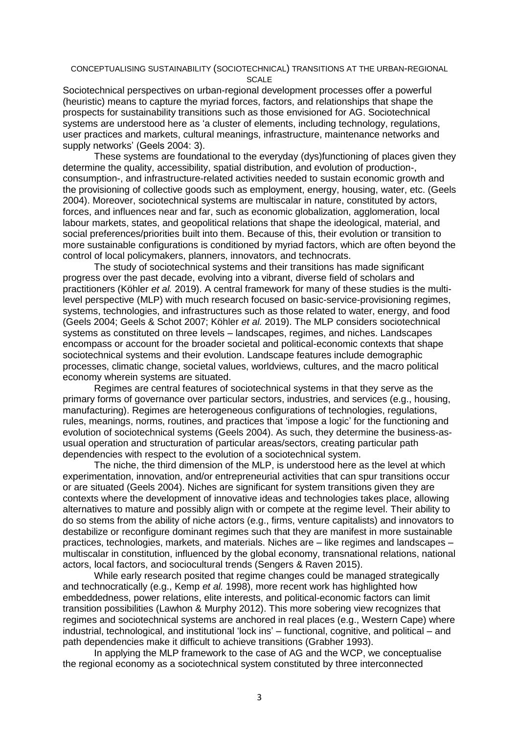#### CONCEPTUALISING SUSTAINABILITY (SOCIOTECHNICAL) TRANSITIONS AT THE URBAN-REGIONAL SCALE

Sociotechnical perspectives on urban-regional development processes offer a powerful (heuristic) means to capture the myriad forces, factors, and relationships that shape the prospects for sustainability transitions such as those envisioned for AG. Sociotechnical systems are understood here as 'a cluster of elements, including technology, regulations, user practices and markets, cultural meanings, infrastructure, maintenance networks and supply networks' (Geels 2004: 3).

These systems are foundational to the everyday (dys)functioning of places given they determine the quality, accessibility, spatial distribution, and evolution of production-, consumption-, and infrastructure-related activities needed to sustain economic growth and the provisioning of collective goods such as employment, energy, housing, water, etc. (Geels 2004). Moreover, sociotechnical systems are multiscalar in nature, constituted by actors, forces, and influences near and far, such as economic globalization, agglomeration, local labour markets, states, and geopolitical relations that shape the ideological, material, and social preferences/priorities built into them. Because of this, their evolution or transition to more sustainable configurations is conditioned by myriad factors, which are often beyond the control of local policymakers, planners, innovators, and technocrats.

The study of sociotechnical systems and their transitions has made significant progress over the past decade, evolving into a vibrant, diverse field of scholars and practitioners (Köhler *et al.* 2019). A central framework for many of these studies is the multilevel perspective (MLP) with much research focused on basic-service-provisioning regimes, systems, technologies, and infrastructures such as those related to water, energy, and food (Geels 2004; Geels & Schot 2007; Köhler *et al.* 2019). The MLP considers sociotechnical systems as constituted on three levels – landscapes, regimes, and niches. Landscapes encompass or account for the broader societal and political-economic contexts that shape sociotechnical systems and their evolution. Landscape features include demographic processes, climatic change, societal values, worldviews, cultures, and the macro political economy wherein systems are situated.

Regimes are central features of sociotechnical systems in that they serve as the primary forms of governance over particular sectors, industries, and services (e.g., housing, manufacturing). Regimes are heterogeneous configurations of technologies, regulations, rules, meanings, norms, routines, and practices that 'impose a logic' for the functioning and evolution of sociotechnical systems (Geels 2004). As such, they determine the business-asusual operation and structuration of particular areas/sectors, creating particular path dependencies with respect to the evolution of a sociotechnical system.

The niche, the third dimension of the MLP, is understood here as the level at which experimentation, innovation, and/or entrepreneurial activities that can spur transitions occur or are situated (Geels 2004). Niches are significant for system transitions given they are contexts where the development of innovative ideas and technologies takes place, allowing alternatives to mature and possibly align with or compete at the regime level. Their ability to do so stems from the ability of niche actors (e.g., firms, venture capitalists) and innovators to destabilize or reconfigure dominant regimes such that they are manifest in more sustainable practices, technologies, markets, and materials. Niches are – like regimes and landscapes – multiscalar in constitution, influenced by the global economy, transnational relations, national actors, local factors, and sociocultural trends (Sengers & Raven 2015).

While early research posited that regime changes could be managed strategically and technocratically (e.g., Kemp *et al.* 1998), more recent work has highlighted how embeddedness, power relations, elite interests, and political-economic factors can limit transition possibilities (Lawhon & Murphy 2012). This more sobering view recognizes that regimes and sociotechnical systems are anchored in real places (e.g., Western Cape) where industrial, technological, and institutional 'lock ins' – functional, cognitive, and political – and path dependencies make it difficult to achieve transitions (Grabher 1993).

In applying the MLP framework to the case of AG and the WCP, we conceptualise the regional economy as a sociotechnical system constituted by three interconnected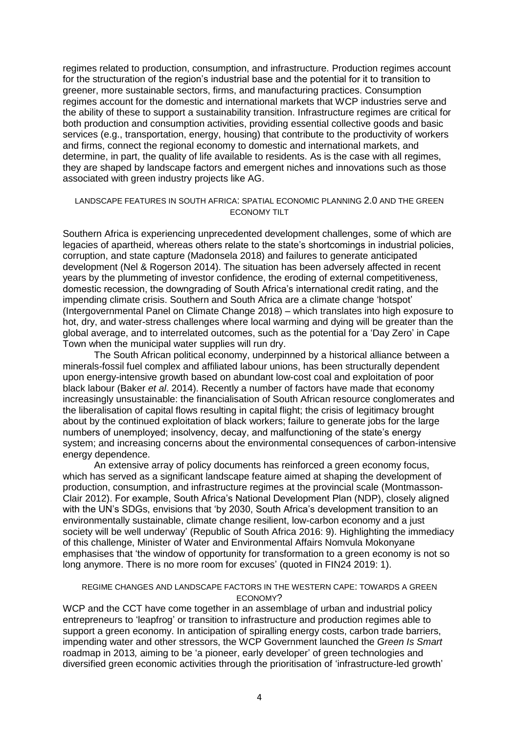regimes related to production, consumption, and infrastructure. Production regimes account for the structuration of the region's industrial base and the potential for it to transition to greener, more sustainable sectors, firms, and manufacturing practices. Consumption regimes account for the domestic and international markets that WCP industries serve and the ability of these to support a sustainability transition. Infrastructure regimes are critical for both production and consumption activities, providing essential collective goods and basic services (e.g., transportation, energy, housing) that contribute to the productivity of workers and firms, connect the regional economy to domestic and international markets, and determine, in part, the quality of life available to residents. As is the case with all regimes, they are shaped by landscape factors and emergent niches and innovations such as those associated with green industry projects like AG.

## LANDSCAPE FEATURES IN SOUTH AFRICA: SPATIAL ECONOMIC PLANNING 2.0 AND THE GREEN ECONOMY TILT

Southern Africa is experiencing unprecedented development challenges, some of which are legacies of apartheid, whereas others relate to the state's shortcomings in industrial policies, corruption, and state capture (Madonsela 2018) and failures to generate anticipated development (Nel & Rogerson 2014). The situation has been adversely affected in recent years by the plummeting of investor confidence, the eroding of external competitiveness, domestic recession, the downgrading of South Africa's international credit rating, and the impending climate crisis. Southern and South Africa are a climate change 'hotspot' (Intergovernmental Panel on Climate Change 2018) – which translates into high exposure to hot, dry, and water-stress challenges where local warming and dying will be greater than the global average, and to interrelated outcomes, such as the potential for a 'Day Zero' in Cape Town when the municipal water supplies will run dry.

The South African political economy, underpinned by a historical alliance between a minerals-fossil fuel complex and affiliated labour unions, has been structurally dependent upon energy-intensive growth based on abundant low-cost coal and exploitation of poor black labour (Baker *et al*. 2014). Recently a number of factors have made that economy increasingly unsustainable: the financialisation of South African resource conglomerates and the liberalisation of capital flows resulting in capital flight; the crisis of legitimacy brought about by the continued exploitation of black workers; failure to generate jobs for the large numbers of unemployed; insolvency, decay, and malfunctioning of the state's energy system; and increasing concerns about the environmental consequences of carbon-intensive energy dependence.

An extensive array of policy documents has reinforced a green economy focus, which has served as a significant landscape feature aimed at shaping the development of production, consumption, and infrastructure regimes at the provincial scale (Montmasson-Clair 2012). For example, South Africa's National Development Plan (NDP), closely aligned with the UN's SDGs, envisions that 'by 2030, South Africa's development transition to an environmentally sustainable, climate change resilient, low-carbon economy and a just society will be well underway' (Republic of South Africa 2016: 9). Highlighting the immediacy of this challenge, Minister of Water and Environmental Affairs Nomvula Mokonyane emphasises that 'the window of opportunity for transformation to a green economy is not so long anymore. There is no more room for excuses' (quoted in FIN24 2019: 1).

# REGIME CHANGES AND LANDSCAPE FACTORS IN THE WESTERN CAPE: TOWARDS A GREEN ECONOMY?

WCP and the CCT have come together in an assemblage of urban and industrial policy entrepreneurs to 'leapfrog' or transition to infrastructure and production regimes able to support a green economy. In anticipation of spiralling energy costs, carbon trade barriers, impending water and other stressors, the WCP Government launched the *Green Is Smart*  roadmap in 2013*,* aiming to be 'a pioneer, early developer' of green technologies and diversified green economic activities through the prioritisation of 'infrastructure-led growth'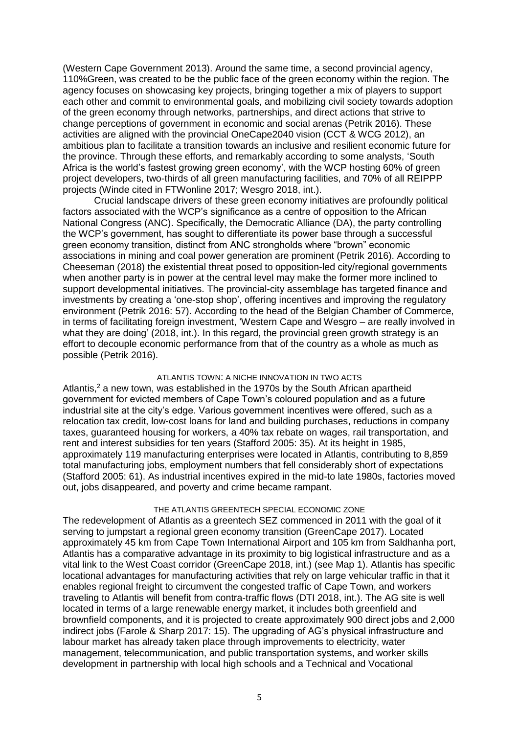(Western Cape Government 2013). Around the same time, a second provincial agency, 110%Green, was created to be the public face of the green economy within the region. The agency focuses on showcasing key projects, bringing together a mix of players to support each other and commit to environmental goals, and mobilizing civil society towards adoption of the green economy through networks, partnerships, and direct actions that strive to change perceptions of government in economic and social arenas (Petrik 2016). These activities are aligned with the provincial OneCape2040 vision (CCT & WCG 2012), an ambitious plan to facilitate a transition towards an inclusive and resilient economic future for the province. Through these efforts, and remarkably according to some analysts, 'South Africa is the world's fastest growing green economy', with the WCP hosting 60% of green project developers, two-thirds of all green manufacturing facilities, and 70% of all REIPPP projects (Winde cited in FTWonline 2017; Wesgro 2018, int.).

Crucial landscape drivers of these green economy initiatives are profoundly political factors associated with the WCP's significance as a centre of opposition to the African National Congress (ANC). Specifically, the Democratic Alliance (DA), the party controlling the WCP's government, has sought to differentiate its power base through a successful green economy transition, distinct from ANC strongholds where "brown" economic associations in mining and coal power generation are prominent (Petrik 2016). According to Cheeseman (2018) the existential threat posed to opposition-led city/regional governments when another party is in power at the central level may make the former more inclined to support developmental initiatives. The provincial-city assemblage has targeted finance and investments by creating a 'one-stop shop', offering incentives and improving the regulatory environment (Petrik 2016: 57). According to the head of the Belgian Chamber of Commerce, in terms of facilitating foreign investment, 'Western Cape and Wesgro – are really involved in what they are doing' (2018, int.). In this regard, the provincial green growth strategy is an effort to decouple economic performance from that of the country as a whole as much as possible (Petrik 2016).

# ATLANTIS TOWN: A NICHE INNOVATION IN TWO ACTS

Atlantis,<sup>2</sup> a new town, was established in the 1970s by the South African apartheid government for evicted members of Cape Town's coloured population and as a future industrial site at the city's edge. Various government incentives were offered, such as a relocation tax credit, low-cost loans for land and building purchases, reductions in company taxes, guaranteed housing for workers, a 40% tax rebate on wages, rail transportation, and rent and interest subsidies for ten years (Stafford 2005: 35). At its height in 1985, approximately 119 manufacturing enterprises were located in Atlantis, contributing to 8,859 total manufacturing jobs, employment numbers that fell considerably short of expectations (Stafford 2005: 61). As industrial incentives expired in the mid-to late 1980s, factories moved out, jobs disappeared, and poverty and crime became rampant.

## THE ATLANTIS GREENTECH SPECIAL ECONOMIC ZONE

The redevelopment of Atlantis as a greentech SEZ commenced in 2011 with the goal of it serving to jumpstart a regional green economy transition (GreenCape 2017). Located approximately 45 km from Cape Town International Airport and 105 km from Saldhanha port, Atlantis has a comparative advantage in its proximity to big logistical infrastructure and as a vital link to the West Coast corridor (GreenCape 2018, int.) (see Map 1). Atlantis has specific locational advantages for manufacturing activities that rely on large vehicular traffic in that it enables regional freight to circumvent the congested traffic of Cape Town, and workers traveling to Atlantis will benefit from contra-traffic flows (DTI 2018, int.). The AG site is well located in terms of a large renewable energy market, it includes both greenfield and brownfield components, and it is projected to create approximately 900 direct jobs and 2,000 indirect jobs (Farole & Sharp 2017: 15). The upgrading of AG's physical infrastructure and labour market has already taken place through improvements to electricity, water management, telecommunication, and public transportation systems, and worker skills development in partnership with local high schools and a Technical and Vocational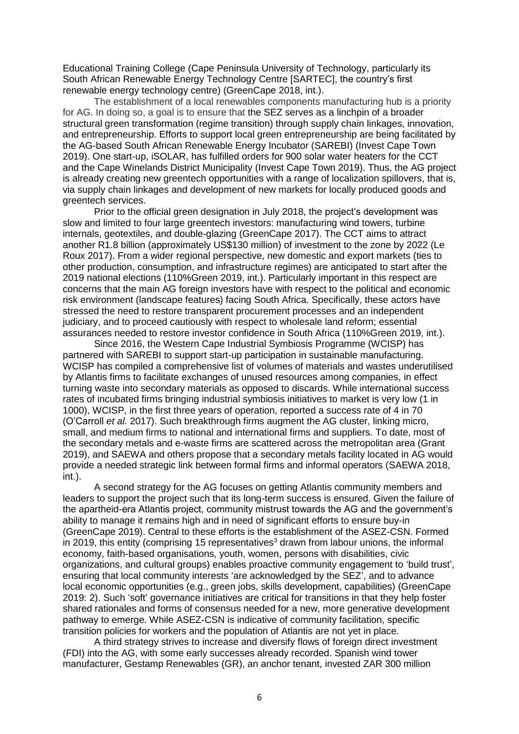Educational Training College (Cape Peninsula University of Technology, particularly its South African Renewable Energy Technology Centre [SARTEC], the country's first renewable energy technology centre) (GreenCape 2018, int.).

The establishment of a local renewables components manufacturing hub is a priority for AG. In doing so, a goal is to ensure that the SEZ serves as a linchpin of a broader structural green transformation (regime transition) through supply chain linkages, innovation, and entrepreneurship. Efforts to support local green entrepreneurship are being facilitated by the AG-based South African Renewable Energy Incubator (SAREBI) (Invest Cape Town 2019). One start-up, iSOLAR, has fulfilled orders for 900 solar water heaters for the CCT and the Cape Winelands District Municipality (Invest Cape Town 2019). Thus, the AG project is already creating new greentech opportunities with a range of localization spillovers, that is, via supply chain linkages and development of new markets for locally produced goods and greentech services.

Prior to the official green designation in July 2018, the project's development was slow and limited to four large greentech investors: manufacturing wind towers, turbine internals, geotextiles, and double-glazing (GreenCape 2017). The CCT aims to attract another R1.8 billion (approximately US\$130 million) of investment to the zone by 2022 (Le Roux 2017). From a wider regional perspective, new domestic and export markets (ties to other production, consumption, and infrastructure regimes) are anticipated to start after the 2019 national elections (110%Green 2019, int.). Particularly important in this respect are concerns that the main AG foreign investors have with respect to the political and economic risk environment (landscape features) facing South Africa. Specifically, these actors have stressed the need to restore transparent procurement processes and an independent judiciary, and to proceed cautiously with respect to wholesale land reform; essential assurances needed to restore investor confidence in South Africa (110%Green 2019, int.).

Since 2016, the Western Cape Industrial Symbiosis Programme (WCISP) has partnered with SAREBI to support start-up participation in sustainable manufacturing. WCISP has compiled a comprehensive list of volumes of materials and wastes underutilised by Atlantis firms to facilitate exchanges of unused resources among companies, in effect turning waste into secondary materials as opposed to discards. While international success rates of incubated firms bringing industrial symbiosis initiatives to market is very low (1 in 1000), WCISP, in the first three years of operation, reported a success rate of 4 in 70 (O'Carroll *et al.* 2017). Such breakthrough firms augment the AG cluster, linking micro, small, and medium firms to national and international firms and suppliers. To date, most of the secondary metals and e-waste firms are scattered across the metropolitan area (Grant 2019), and SAEWA and others propose that a secondary metals facility located in AG would provide a needed strategic link between formal firms and informal operators (SAEWA 2018, int.).

A second strategy for the AG focuses on getting Atlantis community members and leaders to support the project such that its long-term success is ensured. Given the failure of the apartheid-era Atlantis project, community mistrust towards the AG and the government's ability to manage it remains high and in need of significant efforts to ensure buy-in (GreenCape 2019). Central to these efforts is the establishment of the ASEZ-CSN. Formed in 2019, this entity (comprising 15 representatives<sup>3</sup> drawn from labour unions, the informal economy, faith-based organisations, youth, women, persons with disabilities, civic organizations, and cultural groups) enables proactive community engagement to 'build trust', ensuring that local community interests 'are acknowledged by the SEZ', and to advance local economic opportunities (e.g., green jobs, skills development, capabilities) (GreenCape 2019: 2). Such 'soft' governance initiatives are critical for transitions in that they help foster shared rationales and forms of consensus needed for a new, more generative development pathway to emerge. While ASEZ-CSN is indicative of community facilitation, specific transition policies for workers and the population of Atlantis are not yet in place.

A third strategy strives to increase and diversify flows of foreign direct investment (FDI) into the AG, with some early successes already recorded. Spanish wind tower manufacturer, Gestamp Renewables (GR), an anchor tenant, invested ZAR 300 million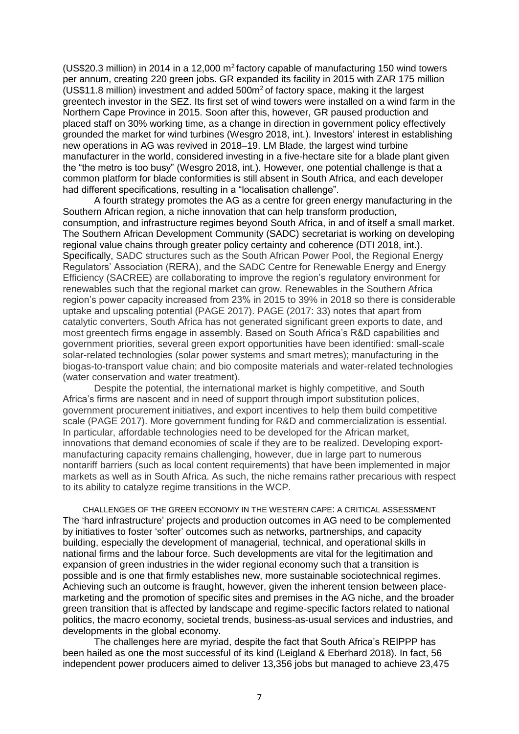(US\$20.3 million) in 2014 in a 12,000 m<sup>2</sup>factory capable of manufacturing 150 wind towers per annum, creating 220 green jobs. GR expanded its facility in 2015 with ZAR 175 million (US\$11.8 million) investment and added  $500<sup>m²</sup>$  of factory space, making it the largest greentech investor in the SEZ. Its first set of wind towers were installed on a wind farm in the Northern Cape Province in 2015. Soon after this, however, GR paused production and placed staff on 30% working time, as a change in direction in government policy effectively grounded the market for wind turbines (Wesgro 2018, int.). Investors' interest in establishing new operations in AG was revived in 2018–19. LM Blade, the largest wind turbine manufacturer in the world, considered investing in a five-hectare site for a blade plant given the "the metro is too busy" (Wesgro 2018, int.). However, one potential challenge is that a common platform for blade conformities is still absent in South Africa, and each developer had different specifications, resulting in a "localisation challenge".

A fourth strategy promotes the AG as a centre for green energy manufacturing in the Southern African region, a niche innovation that can help transform production, consumption, and infrastructure regimes beyond South Africa, in and of itself a small market. The Southern African Development Community (SADC) secretariat is working on developing regional value chains through greater policy certainty and coherence (DTI 2018, int.). Specifically, SADC structures such as the South African Power Pool, the Regional Energy Regulators' Association (RERA), and the SADC Centre for Renewable Energy and Energy Efficiency (SACREE) are collaborating to improve the region's regulatory environment for renewables such that the regional market can grow. Renewables in the Southern Africa region's power capacity increased from 23% in 2015 to 39% in 2018 so there is considerable uptake and upscaling potential (PAGE 2017). PAGE (2017: 33) notes that apart from catalytic converters, South Africa has not generated significant green exports to date, and most greentech firms engage in assembly. Based on South Africa's R&D capabilities and government priorities, several green export opportunities have been identified: small-scale solar-related technologies (solar power systems and smart metres); manufacturing in the biogas-to-transport value chain; and bio composite materials and water-related technologies (water conservation and water treatment).

Despite the potential, the international market is highly competitive, and South Africa's firms are nascent and in need of support through import substitution polices, government procurement initiatives, and export incentives to help them build competitive scale (PAGE 2017). More government funding for R&D and commercialization is essential. In particular, affordable technologies need to be developed for the African market, innovations that demand economies of scale if they are to be realized. Developing exportmanufacturing capacity remains challenging, however, due in large part to numerous nontariff barriers (such as local content requirements) that have been implemented in major markets as well as in South Africa. As such, the niche remains rather precarious with respect to its ability to catalyze regime transitions in the WCP.

CHALLENGES OF THE GREEN ECONOMY IN THE WESTERN CAPE: A CRITICAL ASSESSMENT The 'hard infrastructure' projects and production outcomes in AG need to be complemented by initiatives to foster 'softer' outcomes such as networks, partnerships, and capacity building, especially the development of managerial, technical, and operational skills in national firms and the labour force. Such developments are vital for the legitimation and expansion of green industries in the wider regional economy such that a transition is possible and is one that firmly establishes new, more sustainable sociotechnical regimes. Achieving such an outcome is fraught, however, given the inherent tension between placemarketing and the promotion of specific sites and premises in the AG niche, and the broader green transition that is affected by landscape and regime-specific factors related to national politics, the macro economy, societal trends, business-as-usual services and industries, and developments in the global economy.

The challenges here are myriad, despite the fact that South Africa's REIPPP has been hailed as one the most successful of its kind (Leigland & Eberhard 2018). In fact, 56 independent power producers aimed to deliver 13,356 jobs but managed to achieve 23,475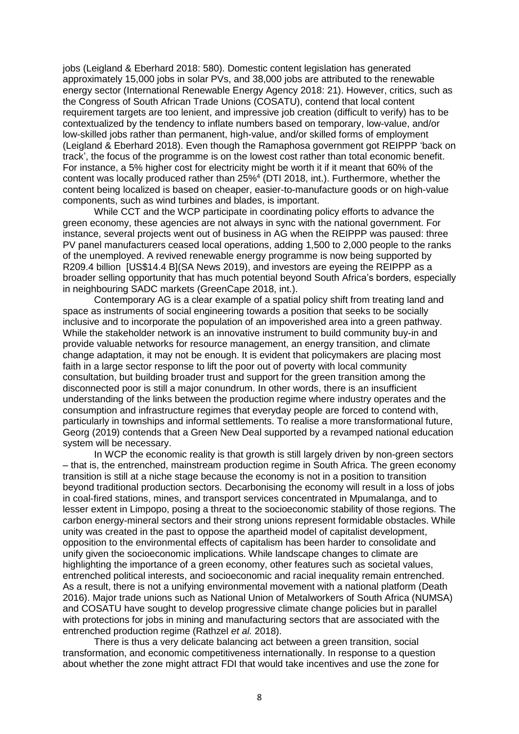jobs (Leigland & Eberhard 2018: 580). Domestic content legislation has generated approximately 15,000 jobs in solar PVs, and 38,000 jobs are attributed to the renewable energy sector (International Renewable Energy Agency 2018: 21). However, critics, such as the Congress of South African Trade Unions (COSATU), contend that local content requirement targets are too lenient, and impressive job creation (difficult to verify) has to be contextualized by the tendency to inflate numbers based on temporary, low-value, and/or low-skilled jobs rather than permanent, high-value, and/or skilled forms of employment (Leigland & Eberhard 2018). Even though the Ramaphosa government got REIPPP 'back on track', the focus of the programme is on the lowest cost rather than total economic benefit. For instance, a 5% higher cost for electricity might be worth it if it meant that 60% of the content was locally produced rather than 25%<sup>4</sup> (DTI 2018, int.). Furthermore, whether the content being localized is based on cheaper, easier-to-manufacture goods or on high-value components, such as wind turbines and blades, is important.

While CCT and the WCP participate in coordinating policy efforts to advance the green economy, these agencies are not always in sync with the national government. For instance, several projects went out of business in AG when the REIPPP was paused: three PV panel manufacturers ceased local operations, adding 1,500 to 2,000 people to the ranks of the unemployed. A revived renewable energy programme is now being supported by R209.4 billion [US\$14.4 B](SA News 2019), and investors are eyeing the REIPPP as a broader selling opportunity that has much potential beyond South Africa's borders, especially in neighbouring SADC markets (GreenCape 2018, int.).

Contemporary AG is a clear example of a spatial policy shift from treating land and space as instruments of social engineering towards a position that seeks to be socially inclusive and to incorporate the population of an impoverished area into a green pathway. While the stakeholder network is an innovative instrument to build community buy-in and provide valuable networks for resource management, an energy transition, and climate change adaptation, it may not be enough. It is evident that policymakers are placing most faith in a large sector response to lift the poor out of poverty with local community consultation, but building broader trust and support for the green transition among the disconnected poor is still a major conundrum. In other words, there is an insufficient understanding of the links between the production regime where industry operates and the consumption and infrastructure regimes that everyday people are forced to contend with, particularly in townships and informal settlements. To realise a more transformational future, Georg (2019) contends that a Green New Deal supported by a revamped national education system will be necessary.

In WCP the economic reality is that growth is still largely driven by non-green sectors – that is, the entrenched, mainstream production regime in South Africa. The green economy transition is still at a niche stage because the economy is not in a position to transition beyond traditional production sectors. Decarbonising the economy will result in a loss of jobs in coal-fired stations, mines, and transport services concentrated in Mpumalanga, and to lesser extent in Limpopo, posing a threat to the socioeconomic stability of those regions. The carbon energy-mineral sectors and their strong unions represent formidable obstacles. While unity was created in the past to oppose the apartheid model of capitalist development, opposition to the environmental effects of capitalism has been harder to consolidate and unify given the socioeconomic implications. While landscape changes to climate are highlighting the importance of a green economy, other features such as societal values, entrenched political interests, and socioeconomic and racial inequality remain entrenched. As a result, there is not a unifying environmental movement with a national platform (Death 2016). Major trade unions such as National Union of Metalworkers of South Africa (NUMSA) and COSATU have sought to develop progressive climate change policies but in parallel with protections for jobs in mining and manufacturing sectors that are associated with the entrenched production regime (Rathzel *et al.* 2018).

There is thus a very delicate balancing act between a green transition, social transformation, and economic competitiveness internationally. In response to a question about whether the zone might attract FDI that would take incentives and use the zone for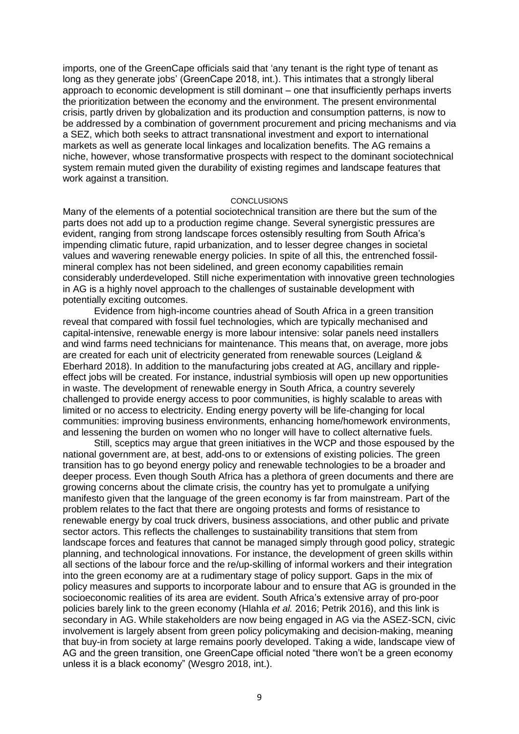imports, one of the GreenCape officials said that 'any tenant is the right type of tenant as long as they generate jobs' (GreenCape 2018, int.). This intimates that a strongly liberal approach to economic development is still dominant – one that insufficiently perhaps inverts the prioritization between the economy and the environment. The present environmental crisis, partly driven by globalization and its production and consumption patterns, is now to be addressed by a combination of government procurement and pricing mechanisms and via a SEZ, which both seeks to attract transnational investment and export to international markets as well as generate local linkages and localization benefits. The AG remains a niche, however, whose transformative prospects with respect to the dominant sociotechnical system remain muted given the durability of existing regimes and landscape features that work against a transition.

### **CONCLUSIONS**

Many of the elements of a potential sociotechnical transition are there but the sum of the parts does not add up to a production regime change. Several synergistic pressures are evident, ranging from strong landscape forces ostensibly resulting from South Africa's impending climatic future, rapid urbanization, and to lesser degree changes in societal values and wavering renewable energy policies. In spite of all this, the entrenched fossilmineral complex has not been sidelined, and green economy capabilities remain considerably underdeveloped. Still niche experimentation with innovative green technologies in AG is a highly novel approach to the challenges of sustainable development with potentially exciting outcomes.

Evidence from high-income countries ahead of South Africa in a green transition reveal that compared with fossil fuel technologies, which are typically mechanised and capital-intensive, renewable energy is more labour intensive: solar panels need installers and wind farms need technicians for maintenance. This means that, on average, more jobs are created for each unit of electricity generated from renewable sources (Leigland & Eberhard 2018). In addition to the manufacturing jobs created at AG, ancillary and rippleeffect jobs will be created. For instance, industrial symbiosis will open up new opportunities in waste. The development of renewable energy in South Africa, a country severely challenged to provide energy access to poor communities, is highly scalable to areas with limited or no access to electricity. Ending energy poverty will be life-changing for local communities: improving business environments, enhancing home/homework environments, and lessening the burden on women who no longer will have to collect alternative fuels.

Still, sceptics may argue that green initiatives in the WCP and those espoused by the national government are, at best, add-ons to or extensions of existing policies. The green transition has to go beyond energy policy and renewable technologies to be a broader and deeper process. Even though South Africa has a plethora of green documents and there are growing concerns about the climate crisis, the country has yet to promulgate a unifying manifesto given that the language of the green economy is far from mainstream. Part of the problem relates to the fact that there are ongoing protests and forms of resistance to renewable energy by coal truck drivers, business associations, and other public and private sector actors. This reflects the challenges to sustainability transitions that stem from landscape forces and features that cannot be managed simply through good policy, strategic planning, and technological innovations. For instance, the development of green skills within all sections of the labour force and the re/up-skilling of informal workers and their integration into the green economy are at a rudimentary stage of policy support. Gaps in the mix of policy measures and supports to incorporate labour and to ensure that AG is grounded in the socioeconomic realities of its area are evident. South Africa's extensive array of pro-poor policies barely link to the green economy (Hlahla *et al.* 2016; Petrik 2016), and this link is secondary in AG. While stakeholders are now being engaged in AG via the ASEZ-SCN, civic involvement is largely absent from green policy policymaking and decision-making, meaning that buy-in from society at large remains poorly developed. Taking a wide, landscape view of AG and the green transition, one GreenCape official noted "there won't be a green economy unless it is a black economy" (Wesgro 2018, int.).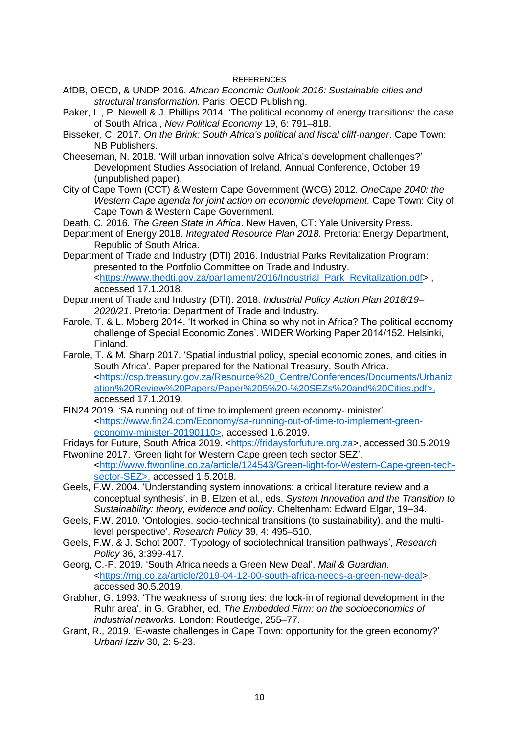## **REFERENCES**

- AfDB, OECD, & UNDP 2016. *African Economic Outlook 2016: Sustainable cities and structural transformation.* Paris: OECD Publishing.
- Baker, L., P. Newell & J. Phillips 2014. 'The political economy of energy transitions: the case of South Africa', *New Political Economy* 19, 6: 791–818.
- Bisseker, C. 2017. *On the Brink: South Africa's political and fiscal cliff-hanger*. Cape Town: NB Publishers.
- Cheeseman, N. 2018. 'Will urban innovation solve Africa's development challenges?' Development Studies Association of Ireland, Annual Conference, October 19 (unpublished paper).
- City of Cape Town (CCT) & Western Cape Government (WCG) 2012. *OneCape 2040: the Western Cape agenda for joint action on economic development.* Cape Town: City of Cape Town & Western Cape Government.
- Death, C. 2016. *The Green State in Africa*. New Haven, CT: Yale University Press.
- Department of Energy 2018. *Integrated Resource Plan 2018.* Pretoria: Energy Department, Republic of South Africa.
- Department of Trade and Industry (DTI) 2016. Industrial Parks Revitalization Program: presented to the Portfolio Committee on Trade and Industry. [<https://www.thedti.gov.za/parliament/2016/Industrial\\_Park\\_Revitalization.pdf>](https://www.thedti.gov.za/parliament/2016/Industrial_Park_Revitalization.pdf) , accessed 17.1.2018.
- Department of Trade and Industry (DTI). 2018. *Industrial Policy Action Plan 2018/19– 2020/21*. Pretoria: Department of Trade and Industry.
- Farole, T. & L. Moberg 2014. 'It worked in China so why not in Africa? The political economy challenge of Special Economic Zones'. WIDER Working Paper 2014/152. Helsinki, Finland.
- Farole, T. & M. Sharp 2017. 'Spatial industrial policy, special economic zones, and cities in South Africa'. Paper prepared for the National Treasury, South Africa. [<https://csp.treasury.gov.za/Resource%20\\_Centre/Conferences/Documents/Urbaniz](https://csp.treasury.gov.za/Resource%20_Centre/Conferences/Documents/Urbanization%20Review%20Papers/Paper%205%20-%20SEZs%20and%20Cities.pdf) [ation%20Review%20Papers/Paper%205%20-%20SEZs%20and%20Cities.pdf>](https://csp.treasury.gov.za/Resource%20_Centre/Conferences/Documents/Urbanization%20Review%20Papers/Paper%205%20-%20SEZs%20and%20Cities.pdf), accessed 17.1.2019.
- FIN24 2019. 'SA running out of time to implement green economy- minister'. [<https://www.fin24.com/Economy/sa-running-out-of-time-to-implement-green](https://www.fin24.com/Economy/sa-running-out-of-time-to-implement-green-economy-minister-20190110)[economy-minister-20190110>](https://www.fin24.com/Economy/sa-running-out-of-time-to-implement-green-economy-minister-20190110), accessed 1.6.2019.
- Fridays for Future, South Africa 2019. [<https://fridaysforfuture.org.za>](https://fridaysforfuture.org.za/), accessed 30.5.2019. Ftwonline 2017. 'Green light for Western Cape green tech sector SEZ'.
- [<http://www.ftwonline.co.za/article/124543/Green-light-for-Western-Cape-green-tech](http://www.ftwonline.co.za/article/124543/Green-light-for-Western-Cape-green-tech-sector-SEZ)[sector-SEZ>](http://www.ftwonline.co.za/article/124543/Green-light-for-Western-Cape-green-tech-sector-SEZ), accessed 1.5.2018.
- Geels, F.W. 2004. 'Understanding system innovations: a critical literature review and a conceptual synthesis'. in B. Elzen et al., eds. *System Innovation and the Transition to Sustainability: theory, evidence and policy*. Cheltenham: Edward Elgar, 19–34.
- Geels, F.W. 2010. 'Ontologies, socio-technical transitions (to sustainability), and the multilevel perspective', *Research Policy* 39, 4: 495–510.
- Geels, F.W. & J. Schot 2007. 'Typology of sociotechnical transition pathways', *Research Policy* 36, 3:399-417.
- Georg, C.-P. 2019. 'South Africa needs a Green New Deal'. *Mail & Guardian.* [<https://mg.co.za/article/2019-04-12-00-south-africa-needs-a-green-new-deal>](https://mg.co.za/article/2019-04-12-00-south-africa-needs-a-green-new-deal), accessed 30.5.2019.
- Grabher, G. 1993. 'The weakness of strong ties: the lock-in of regional development in the Ruhr area', in G. Grabher, ed. *The Embedded Firm: on the socioeconomics of industrial networks.* London: Routledge, 255–77.
- Grant, R., 2019. 'E-waste challenges in Cape Town: opportunity for the green economy?' *Urbani Izziv* 30, 2: 5-23.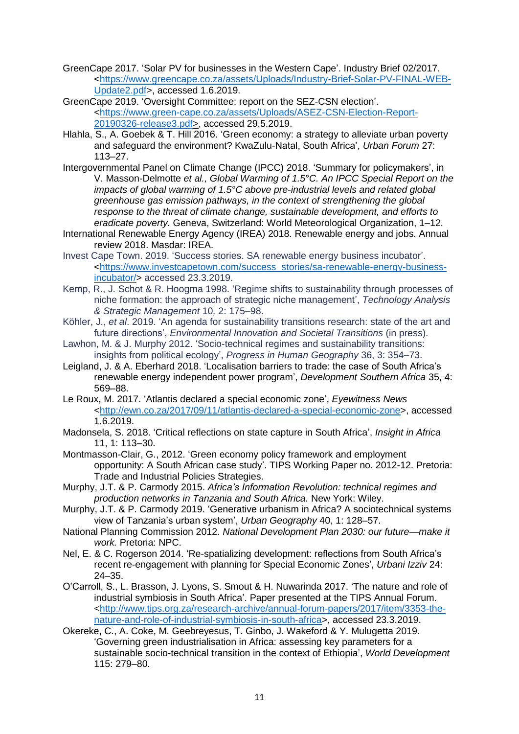- GreenCape 2017. 'Solar PV for businesses in the Western Cape'. Industry Brief 02/2017. [<https://www.greencape.co.za/assets/Uploads/Industry-Brief-Solar-PV-FINAL-WEB-](https://www.greencape.co.za/assets/Uploads/Industry-Brief-Solar-PV-FINAL-WEB-Update2.pdf)[Update2.pdf>](https://www.greencape.co.za/assets/Uploads/Industry-Brief-Solar-PV-FINAL-WEB-Update2.pdf), accessed 1.6.2019.
- GreenCape 2019. 'Oversight Committee: report on the SEZ-CSN election'. [<https://www.green-cape.co.za/assets/Uploads/ASEZ-CSN-Election-Report-](https://www.green-cape.co.za/assets/Uploads/ASEZ-CSN-Election-Report-20190326-release3.pdf)[20190326-release3.pdf>](https://www.green-cape.co.za/assets/Uploads/ASEZ-CSN-Election-Report-20190326-release3.pdf), accessed 29.5.2019.
- Hlahla, S., A. Goebek & T. Hill 2016. 'Green economy: a strategy to alleviate urban poverty and safeguard the environment? KwaZulu-Natal, South Africa', *Urban Forum* 27: 113–27.
- Intergovernmental Panel on Climate Change (IPCC) 2018. 'Summary for policymakers', in V. Masson-Delmotte *et al., Global Warming of 1.5°C. An IPCC Special Report on the impacts of global warming of 1.5°C above pre-industrial levels and related global greenhouse gas emission pathways, in the context of strengthening the global response to the threat of climate change, sustainable development, and efforts to eradicate poverty.* Geneva, Switzerland: World Meteorological Organization, 1–12.
- International Renewable Energy Agency (IREA) 2018. Renewable energy and jobs. Annual review 2018. Masdar: IREA.
- Invest Cape Town. 2019. 'Success stories. SA renewable energy business incubator'. [<https://www.investcapetown.com/success\\_stories/sa-renewable-energy-business](https://www.investcapetown.com/success_stories/sa-renewable-energy-business-incubator/)[incubator/>](https://www.investcapetown.com/success_stories/sa-renewable-energy-business-incubator/) accessed 23.3.2019.
- Kemp, R., J. Schot & R. Hoogma 1998. 'Regime shifts to sustainability through processes of niche formation: the approach of strategic niche management', *Technology Analysis & Strategic Management* 10*,* 2: 175–98.

Köhler, J., *et al*. 2019. 'An agenda for sustainability transitions research: state of the art and future directions', *Environmental Innovation and Societal Transitions* (in press).

- Lawhon, M. & J. Murphy 2012. 'Socio-technical regimes and sustainability transitions: insights from political ecology', *Progress in Human Geography* 36, 3: 354–73.
- Leigland, J. & A. Eberhard 2018. 'Localisation barriers to trade: the case of South Africa's renewable energy independent power program', *Development Southern Africa* 35, 4: 569–88.
- Le Roux, M. 2017. 'Atlantis declared a special economic zone', *Eyewitness News* [<http://ewn.co.za/2017/09/11/atlantis-declared-a-special-economic-zone>](http://ewn.co.za/2017/09/11/atlantis-declared-a-special-economic-zone), accessed 1.6.2019.
- Madonsela, S. 2018. 'Critical reflections on state capture in South Africa', *Insight in Africa* 11, 1: 113–30.
- Montmasson-Clair, G., 2012. 'Green economy policy framework and employment opportunity: A South African case study'. TIPS Working Paper no. 2012-12. Pretoria: Trade and Industrial Policies Strategies.
- Murphy, J.T. & P. Carmody 2015. *Africa's Information Revolution: technical regimes and production networks in Tanzania and South Africa.* New York: Wiley.
- Murphy, J.T. & P. Carmody 2019. 'Generative urbanism in Africa? A sociotechnical systems view of Tanzania's urban system', *Urban Geography* 40, 1: 128–57.
- National Planning Commission 2012. *National Development Plan 2030: our future—make it work.* Pretoria: NPC.
- Nel, E. & C. Rogerson 2014. 'Re-spatializing development: reflections from South Africa's recent re-engagement with planning for Special Economic Zones', *Urbani Izziv* 24: 24–35.
- O'Carroll, S., L. Brasson, J. Lyons, S. Smout & H. Nuwarinda 2017. 'The nature and role of industrial symbiosis in South Africa'. Paper presented at the TIPS Annual Forum. [<http://www.tips.org.za/research-archive/annual-forum-papers/2017/item/3353-the](http://www.tips.org.za/research-archive/annual-forum-papers/2017/item/3353-the-nature-and-role-of-industrial-symbiosis-in-south-africa)[nature-and-role-of-industrial-symbiosis-in-south-africa>](http://www.tips.org.za/research-archive/annual-forum-papers/2017/item/3353-the-nature-and-role-of-industrial-symbiosis-in-south-africa), accessed 23.3.2019.
- Okereke, C., A. Coke, M. Geebreyesus, T. Ginbo, J. Wakeford & Y. Mulugetta 2019. 'Governing green industrialisation in Africa: assessing key parameters for a sustainable socio-technical transition in the context of Ethiopia', *World Development* 115: 279–80.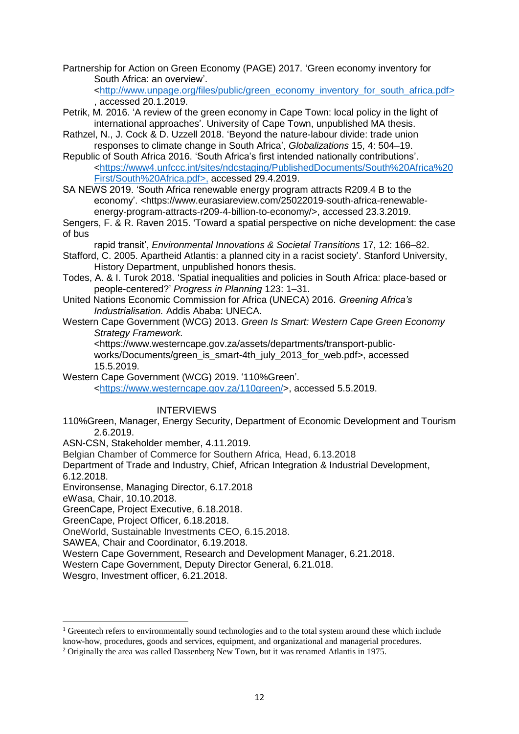Partnership for Action on Green Economy (PAGE) 2017. 'Green economy inventory for South Africa: an overview'.

[<http://www.unpage.org/files/public/green\\_economy\\_inventory\\_for\\_south\\_africa.pdf>](http://www.unpage.org/files/public/green_economy_inventory_for_south_africa.pdf) , accessed 20.1.2019.

- Petrik, M. 2016. 'A review of the green economy in Cape Town: local policy in the light of international approaches'. University of Cape Town, unpublished MA thesis.
- Rathzel, N., J. Cock & D. Uzzell 2018. 'Beyond the nature-labour divide: trade union responses to climate change in South Africa', *Globalizations* 15, 4: 504–19.

Republic of South Africa 2016. 'South Africa's first intended nationally contributions'. [<https://www4.unfccc.int/sites/ndcstaging/PublishedDocuments/South%20Africa%20](https://www4.unfccc.int/sites/ndcstaging/PublishedDocuments/South%20Africa%20First/South%20Africa.pdf) [First/South%20Africa.pdf>](https://www4.unfccc.int/sites/ndcstaging/PublishedDocuments/South%20Africa%20First/South%20Africa.pdf), accessed 29.4.2019.

SA NEWS 2019. 'South Africa renewable energy program attracts R209.4 B to the economy'. <https://www.eurasiareview.com/25022019-south-africa-renewableenergy-program-attracts-r209-4-billion-to-economy/>, accessed 23.3.2019.

Sengers, F. & R. Raven 2015. 'Toward a spatial perspective on niche development: the case of bus

rapid transit', *Environmental Innovations & Societal Transitions* 17, 12: 166–82. Stafford, C. 2005. Apartheid Atlantis: a planned city in a racist society'. Stanford University,

History Department, unpublished honors thesis.

- Todes, A. & I. Turok 2018. 'Spatial inequalities and policies in South Africa: place-based or people-centered?' *Progress in Planning* 123: 1–31.
- United Nations Economic Commission for Africa (UNECA) 2016. *Greening Africa's Industrialisation.* Addis Ababa: UNECA.
- Western Cape Government (WCG) 2013. *Green Is Smart: Western Cape Green Economy Strategy Framework.*

<https://www.westerncape.gov.za/assets/departments/transport-publicworks/Documents/green\_is\_smart-4th\_july\_2013\_for\_web.pdf>, accessed 15.5.2019.

Western Cape Government (WCG) 2019. '110%Green'.

[<https://www.westerncape.gov.za/110green/>](https://www.westerncape.gov.za/110green/), accessed 5.5.2019.

INTERVIEWS

110%Green, Manager, Energy Security, Department of Economic Development and Tourism 2.6.2019.

ASN-CSN, Stakeholder member, 4.11.2019.

Belgian Chamber of Commerce for Southern Africa, Head, 6.13.2018

Department of Trade and Industry, Chief, African Integration & Industrial Development,

6.12.2018.

1

Environsense, Managing Director, 6.17.2018

eWasa, Chair, 10.10.2018.

GreenCape, Project Executive, 6.18.2018.

GreenCape, Project Officer, 6.18.2018.

OneWorld, Sustainable Investments CEO, 6.15.2018.

SAWEA, Chair and Coordinator, 6.19.2018.

Western Cape Government, Research and Development Manager, 6.21.2018.

Western Cape Government, Deputy Director General, 6.21.018.

Wesgro, Investment officer, 6.21.2018.

 $1$  Greentech refers to environmentally sound technologies and to the total system around these which include know-how, procedures, goods and services, equipment, and organizational and managerial procedures.

<sup>&</sup>lt;sup>2</sup> Originally the area was called Dassenberg New Town, but it was renamed Atlantis in 1975.